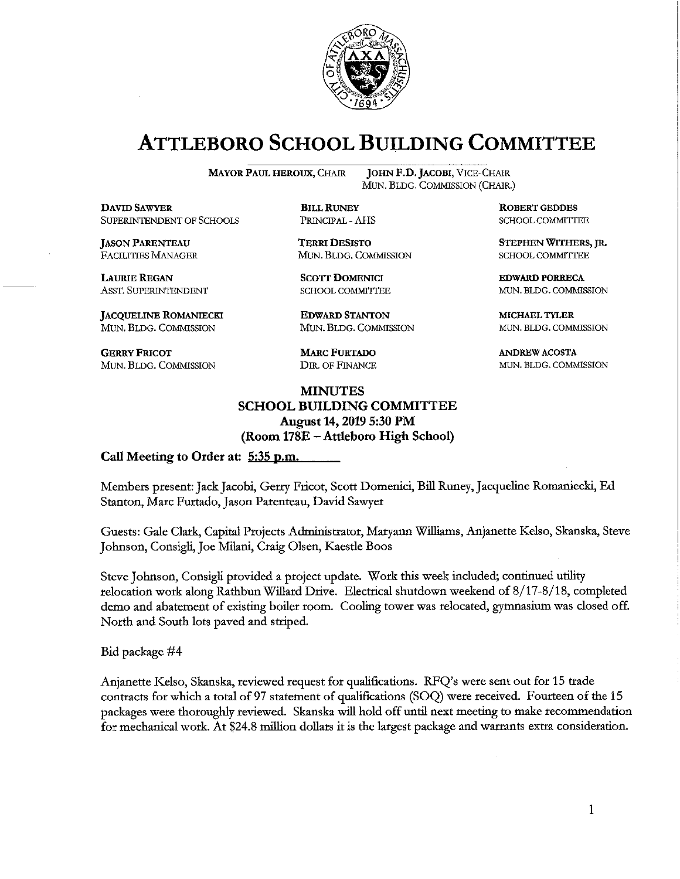

# **ATTLEBORO SCHOOL BUILDING COMMITTEE**

**MAYOR PAUL HEROUX, CHAIR** 

**JOHN F.D. JACOBI, VICE-CHAIR** MUN. BLDG. COMMISSION (CHAIR.)

**DAVID SAWYER** SUPERINTENDENT OF SCHOOLS

**JASON PARENTEAU FACILITIES MANAGER** 

**LAURIE REGAN** ASST. SUPERINTENDENT

**JACQUELINE ROMANIECKI** MUN. BLDG. COMMISSION

**GERRY FRICOT** MUN. BLDG. COMMISSION **BILL RUNEY** PRINCIPAL - AHS

**TERRI DESISTO** MUN. BLDG. COMMISSION

**SCOTT DOMENICI SCHOOL COMMITTEE** 

**EDWARD STANTON** MUN. BLDG. COMMISSION

**MARC FURTADO** DIR. OF FINANCE

#### **MINUTES SCHOOL BUILDING COMMITTEE** August 14, 2019 5:30 PM (Room 178E – Attleboro High School)

Call Meeting to Order at: 5:35 p.m.

Members present: Jack Jacobi, Gerry Fricot, Scott Domenici, Bill Runey, Jacqueline Romaniecki, Ed Stanton, Marc Furtado, Jason Parenteau, David Sawyer

Guests: Gale Clark, Capital Projects Administrator, Maryann Williams, Anjanette Kelso, Skanska, Steve Johnson, Consigli, Joe Milani, Craig Olsen, Kaestle Boos

Steve Johnson, Consigli provided a project update. Work this week included; continued utility relocation work along Rathbun Willard Drive. Electrical shutdown weekend of 8/17-8/18, completed demo and abatement of existing boiler room. Cooling tower was relocated, gymnasium was closed off. North and South lots paved and striped.

Bid package #4

Anjanette Kelso, Skanska, reviewed request for qualifications. RFQ's were sent out for 15 trade contracts for which a total of 97 statement of qualifications (SOQ) were received. Fourteen of the 15 packages were thoroughly reviewed. Skanska will hold off until next meeting to make recommendation for mechanical work. At \$24.8 million dollars it is the largest package and warrants extra consideration.

**ROBERT GEDDES** SCHOOL COMMITTEE

STEPHEN WITHERS, JR. **SCHOOL COMMITTEE** 

**EDWARD PORRECA** MUN. BLDG. COMMISSION

MICHAEL TYLER MUN. BLDG. COMMISSION

**ANDREW ACOSTA** MUN. BLDG. COMMISSION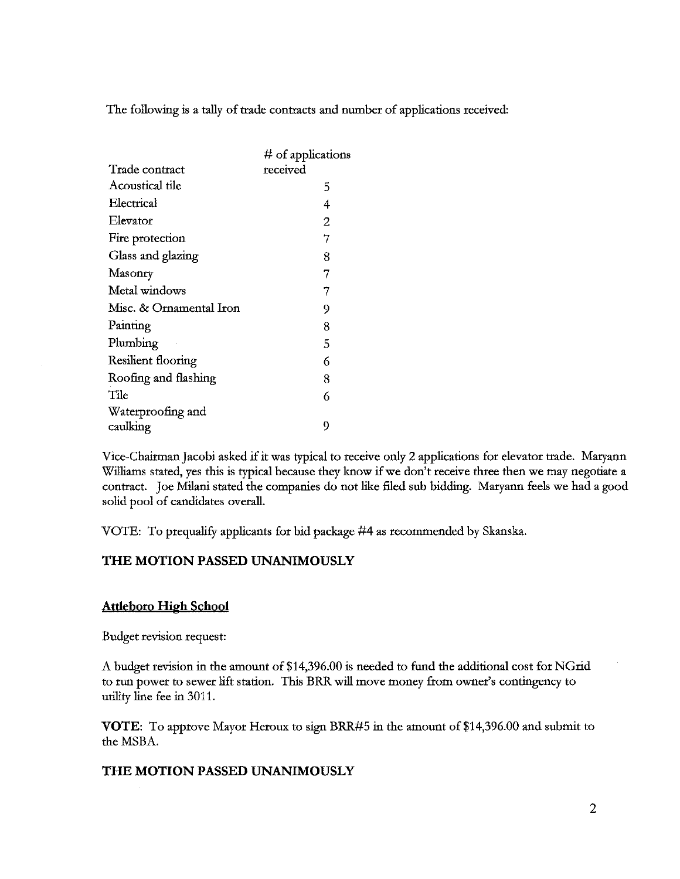The following is a tally of trade contracts and number of applications received:

|                         | $#$ of applications |
|-------------------------|---------------------|
| Trade contract          | received            |
| Acoustical tile         | 5                   |
| Electrical              | 4                   |
| Elevator                | 2                   |
| Fire protection         | 7                   |
| Glass and glazing       | 8                   |
| Masonry                 | 7                   |
| Metal windows           | 7                   |
| Misc. & Ornamental Iron | 9                   |
| Painting                | 8                   |
| Plumbing                | 5                   |
| Resilient flooring      | 6                   |
| Roofing and flashing    | 8                   |
| Tile                    | 6                   |
| Waterproofing and       |                     |
| caulking                | 9                   |

Vice-Chairman Jacobi asked if it was typical to receive only 2 applications for elevator trade. Maryann Williams stated, yes this is typical because they know if we don't receive three then we may negotiate a contract. Joe Milani stated the companies do not like filed sub bidding. Maryann feels we had a good solid pool of candidates overall.

VOTE: To prequalify applicants for bid package #4 as recommended by Skanska.

## THE MOTION PASSED UNANIMOUSLY

#### **Attleboro High School**

Budget revision request:

A budget revision in the amount of \$14,396.00 is needed to fund the additional cost for NGrid to run power to sewer lift station. This BRR will move money from owner's contingency to utility line fee in 3011.

VOTE: To approve Mayor Heroux to sign BRR#5 in the amount of \$14,396.00 and submit to the MSBA.

#### THE MOTION PASSED UNANIMOUSLY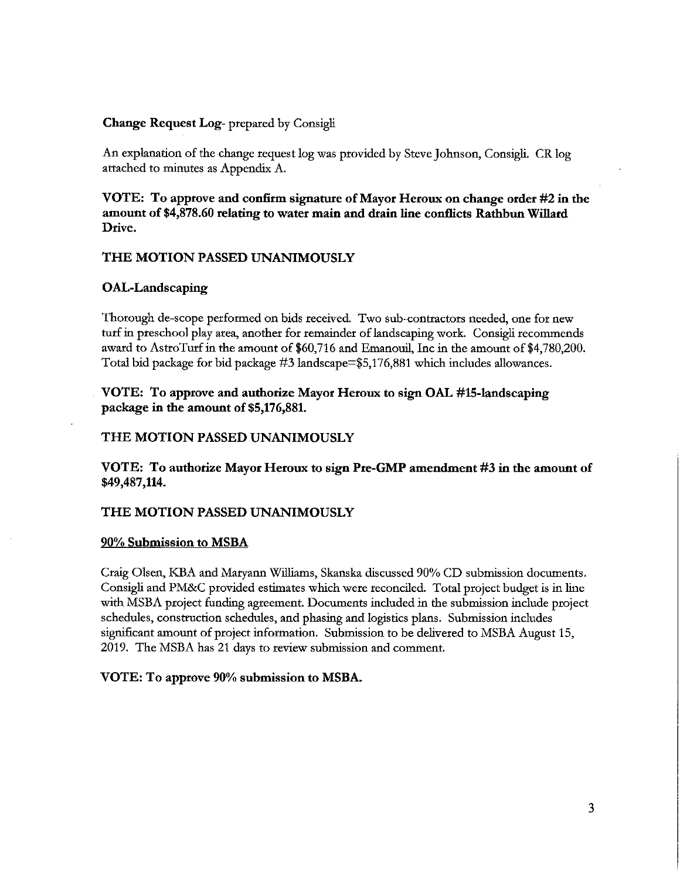#### Change Request Log- prepared by Consigli

An explanation of the change request log was provided by Steve Johnson, Consigli. CR log attached to minutes as Appendix A.

VOTE: To approve and confirm signature of Mayor Heroux on change order #2 in the amount of \$4,878.60 relating to water main and drain line conflicts Rathbun Willard Drive.

#### THE MOTION PASSED UNANIMOUSLY

#### OAL-Landscaping

Thorough de-scope performed on bids received. Two sub-contractors needed, one for new turf in preschool play area, another for remainder of landscaping work. Consigli recommends award to AstroTurf in the amount of \$60,716 and Emanouil, Inc in the amount of \$4,780,200. Total bid package for bid package #3 landscape=\$5,176,881 which includes allowances.

#### VOTE: To approve and authorize Mayor Heroux to sign OAL #15-landscaping package in the amount of \$5,176,881.

#### THE MOTION PASSED UNANIMOUSLY

VOTE: To authorize Mayor Heroux to sign Pre-GMP amendment #3 in the amount of \$49,487,114.

#### THE MOTION PASSED UNANIMOUSLY

#### 90% Submission to MSBA

Craig Olsen, KBA and Maryann Williams, Skanska discussed 90% CD submission documents. Consigli and PM&C provided estimates which were reconciled. Total project budget is in line with MSBA project funding agreement. Documents included in the submission include project schedules, construction schedules, and phasing and logistics plans. Submission includes significant amount of project information. Submission to be delivered to MSBA August 15, 2019. The MSBA has 21 days to review submission and comment.

#### VOTE: To approve 90% submission to MSBA.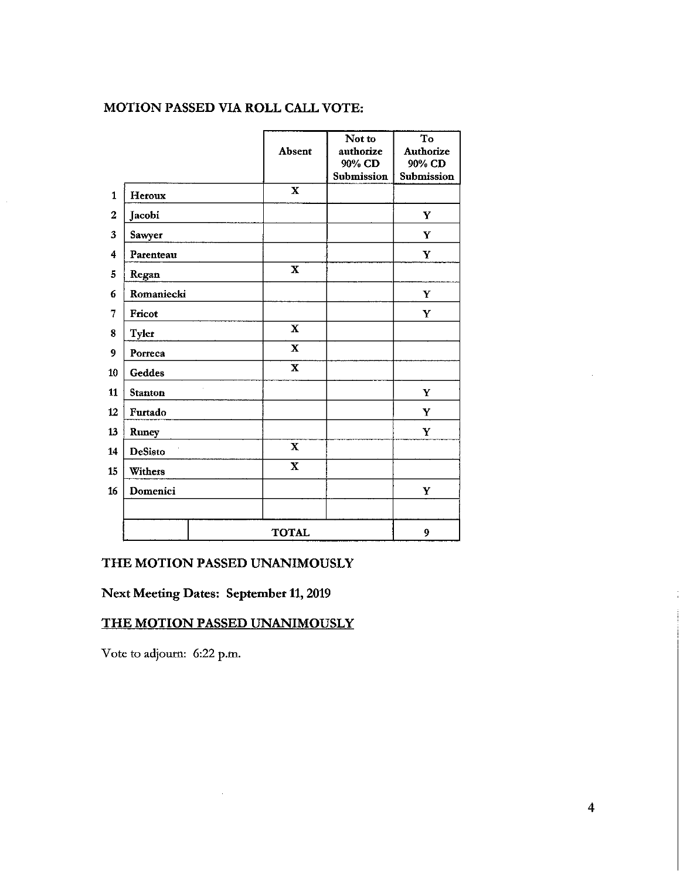## MOTION PASSED VIA ROLL CALL VOTE:

|              |                |              | Not to     | To         |  |  |
|--------------|----------------|--------------|------------|------------|--|--|
|              |                | Absent       | authorize  | Authorize  |  |  |
|              |                |              | 90% CD     | 90% CD     |  |  |
|              |                |              | Submission | Submission |  |  |
| $\mathbf{1}$ | Heroux         | $\mathbf X$  |            |            |  |  |
| $\mathbf{2}$ | Jacobi         |              |            | Y          |  |  |
| 3            | Sawyer         |              |            | Y          |  |  |
| 4            | Parenteau      |              |            | Y          |  |  |
| 5            | Regan          | $\mathbf X$  |            |            |  |  |
| 6            | Romaniecki     |              |            | Y          |  |  |
| 7            | <b>Fricot</b>  |              |            | Y          |  |  |
| 8            | <b>Tyler</b>   | $\mathbf X$  |            |            |  |  |
| 9            | Porreca        | $\mathbf X$  |            |            |  |  |
| 10           | Geddes         | $\mathbf X$  |            |            |  |  |
| 11           | <b>Stanton</b> |              |            | Y          |  |  |
| 12           | Furtado        |              |            | Y          |  |  |
| 13           | Runey          |              |            | Y          |  |  |
| 14           | <b>DeSisto</b> | $\mathbf X$  |            |            |  |  |
| 15           | Withers        | $\mathbf X$  |            |            |  |  |
| 16           | Domenici       |              |            | Y          |  |  |
|              |                |              |            |            |  |  |
|              |                | <b>TOTAL</b> |            | 9          |  |  |

### THE MOTION PASSED UNANIMOUSLY

Next Meeting Dates: September 11, 2019

# THE MOTION PASSED UNANIMOUSLY

Vote to adjourn: 6:22 p.m.